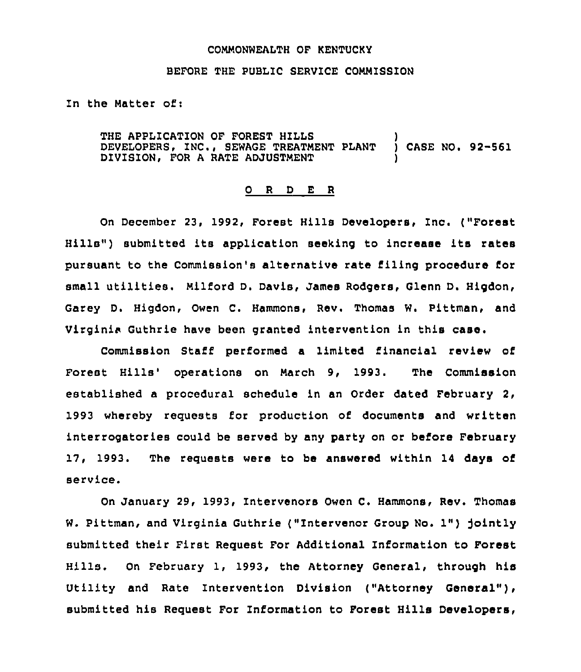## COMMONWEALTH OF KENTUCKY

## BEFORE THE PUBLIC SERVICE COMMISSION

In the Matter of:

THE APPLICATION OF FOREST HILLS DEVELOPERS, INC., SEWAGE TREATMENT PLANT DIVISION, FOR A RATE ADJUSTMENT )<br>) CASE NO. 92–561 )

## 0 <sup>R</sup> <sup>D</sup> E <sup>R</sup>

On December 23, 1992, Forest Hills Developers, Inc. ("Forest Hills") submitted its application seeking to increase its rates pursuant to the Commission's alternative rate filing procedure for small utilities. Milford D. Davis, James Rodgers, Glenn D. Higdon, Garey D. Higdon, Owen C. Hammons, Rev. Thomas W. Pittman, and Virginia Guthrie have been granted intervention in this case.

Commission Staff performed a limited financial review of Forest Hills' operations on March 9, 1993. The Commission established a procedural schedule in an Order dated February 2, 1993 whereby requests for production of documents and written interrogatories could be served by any party on or before February 17, 1993. The requests were to be answered within 14 days of service.

On January 29, 1993, Intervenors Owen C. Hammons, Rev. Thomas W. Pittman, and Virginia Guthrie ("Intervenor Group No. 1") jointly submitted their First Request For Additional Information to Forest Hills. On February 1, 1993, the Attorney General, through his Utility and Rate Intervention Division ("Attorney General"), submitted his Request For Information to Forest Hills Developers,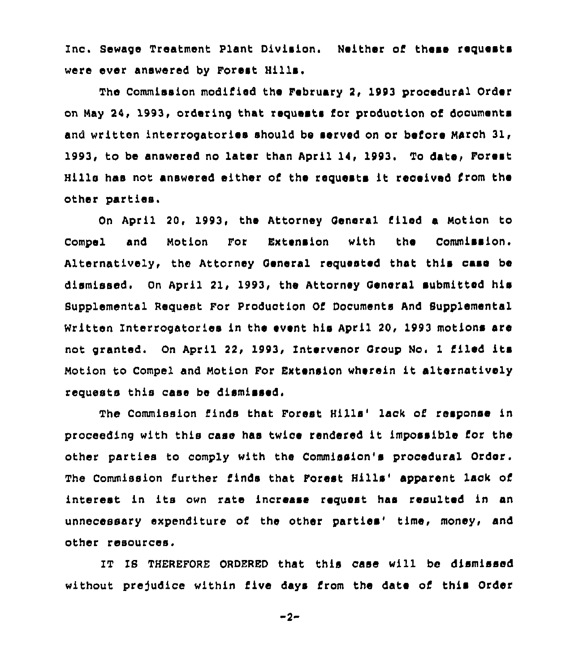Inc. Sewage Treatment Plant Division. Neither of these requests ware ever answered by Forest Hills.

The Commission modified the February 2, 1993 procedural Order on May 24, 1993, ordering that requests for production of dcouments and written interrogatories should be served on or before March 31, to be answered no later than April 14, 1993. To date, Forest Hills has not answered either of the requests it received from the other parties.

On April 20, 1993, the Attorney Qeneral filed a Notion to Compel and Notion For Extension with the Commission. Alternatively, the Attorney General requested that this case be dismissed. On April 21, 1993, the Attorney General submitted his Supplemental Request For Production Of Documents And Supplemental Written Interrogatories in the event his April 20, 1993 motions are not granted. On April 22, 1993, Intervenor Qroup No, <sup>1</sup> filed its Motion to Compel and Motion For Extension wherein it alternatively requests this case be dismissed,

The Commission finds that Forest Hills' lack of response in proceeding with this case has twice rendered it impossible for the other parties to comply with the Commission's procedural Order. The Commission further finds that Forest Hills' apparent lack of interest in its own rate increase request has resulted in an unnecessary expenditure of the other parties' time, money, and other resources.

IT IS THEREFORE ORDERED that this case will be dismissed without prejudice within five days from the date of this Order

 $-2-$